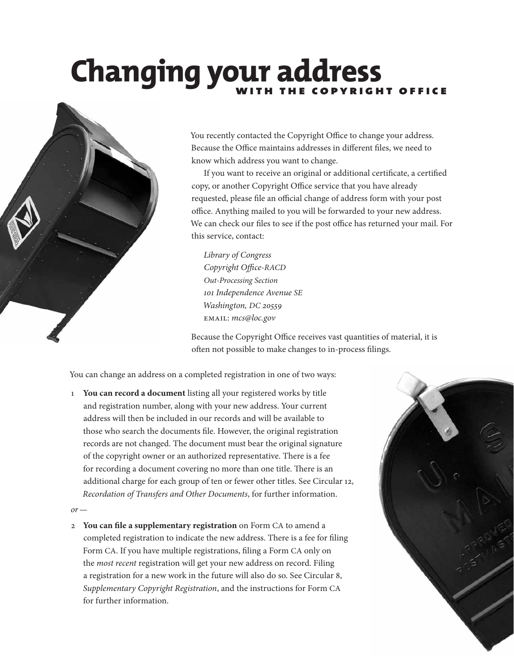# **Changing your address**



You recently contacted the Copyright Office to change your address. Because the Office maintains addresses in different files, we need to know which address you want to change.

If you want to receive an original or additional certificate, a certified copy, or another Copyright Office service that you have already requested, please file an official change of address form with your post office. Anything mailed to you will be forwarded to your new address. We can check our files to see if the post office has returned your mail. For this service, contact:

*Library of Congress Copyright Office-RACD Out-Processing Section 101 Independence Avenue SE Washington, DC 20559* email: *mcs@loc.gov*

Because the Copyright Office receives vast quantities of material, it is often not possible to make changes to in-process filings.

You can change an address on a completed registration in one of two ways:

1 **You can record a document** listing all your registered works by title and registration number, along with your new address. Your current address will then be included in our records and will be available to those who search the documents file. However, the original registration records are not changed. The document must bear the original signature of the copyright owner or an authorized representative. There is a fee for recording a document covering no more than one title. There is an additional charge for each group of ten or fewer other titles. See Circular 12, *Recordation of Transfers and Other Documents*, for further information.

*or—*

2 **You can file a supplementary registration** on Form CA to amend a completed registration to indicate the new address. There is a fee for filing Form CA. If you have multiple registrations, filing a Form CA only on the *most recent* registration will get your new address on record. Filing a registration for a new work in the future will also do so. See Circular 8, *Supplementary Copyright Registration*, and the instructions for Form CA for further information.